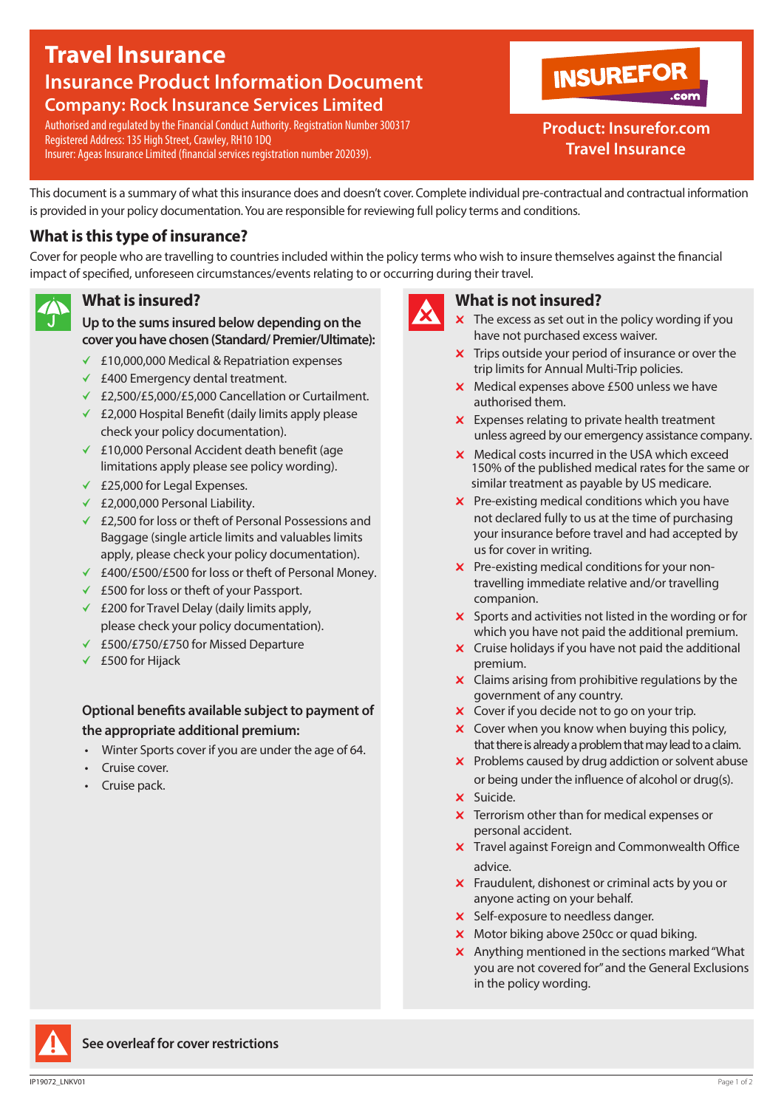# **Travel Insurance Insurance Product Information Document Company: Rock Insurance Services Limited**

Authorised and regulated by the Financial Conduct Authority. Registration Number 300317 Registered Address: 135 High Street, Crawley, RH10 1DQ Insurer: Ageas Insurance Limited (financial services registration number 202039).



# **Product: Insurefor.com Travel Insurance**

This document is a summary of what this insurance does and doesn't cover. Complete individual pre-contractual and contractual information is provided in your policy documentation. You are responsible for reviewing full policy terms and conditions.

# **What is this type of insurance?**

Cover for people who are travelling to countries included within the policy terms who wish to insure themselves against the financial impact of specified, unforeseen circumstances/events relating to or occurring during their travel.

### **What is insured?**

**Up to the sums insured below depending on the cover you have chosen (Standard/ Premier/Ultimate):** 

- b £10,000,000 Medical & Repatriation expenses
- $\checkmark$  £400 Emergency dental treatment.
- ← £2,500/£5,000/£5,000 Cancellation or Curtailment.
- b £2,000 Hospital Benefit (daily limits apply please check your policy documentation).
- $\angle$  £10,000 Personal Accident death benefit (age limitations apply please see policy wording).
- $\checkmark$  £25,000 for Legal Expenses.
- $\times$  £2,000,000 Personal Liability.
- $★$  £2,500 for loss or theft of Personal Possessions and Baggage (single article limits and valuables limits apply, please check your policy documentation).
- ← £400/£500/£500 for loss or theft of Personal Money.
- $\angle$  £500 for loss or theft of your Passport.
- $\angle$  £200 for Travel Delay (daily limits apply, please check your policy documentation).
- b £500/£750/£750 for Missed Departure
- $\times$  £500 for Hijack

### **Optional benefits available subject to payment of the appropriate additional premium:**

- Winter Sports cover if you are under the age of 64.
- Cruise cover.
- Cruise pack.



### **What is not insured?**

- $x$  The excess as set out in the policy wording if you have not purchased excess waiver.
- $\boldsymbol{\times}$  Trips outside your period of insurance or over the trip limits for Annual Multi-Trip policies.
- $x$  Medical expenses above £500 unless we have authorised them.
- $x$  Expenses relating to private health treatment unless agreed by our emergency assistance company.
- $\times$  Medical costs incurred in the USA which exceed 150% of the published medical rates for the same or similar treatment as payable by US medicare.
- $\boldsymbol{\times}$  Pre-existing medical conditions which you have not declared fully to us at the time of purchasing your insurance before travel and had accepted by us for cover in writing.
- $\boldsymbol{\times}$  Pre-existing medical conditions for your nontravelling immediate relative and/or travelling companion.
- $\boldsymbol{\times}$  Sports and activities not listed in the wording or for which you have not paid the additional premium.
- $\boldsymbol{\times}$  Cruise holidays if you have not paid the additional premium.
- $\boldsymbol{\times}$  Claims arising from prohibitive regulations by the government of any country.
- $\boldsymbol{\times}$  Cover if you decide not to go on your trip.
- $\boldsymbol{\times}$  Cover when you know when buying this policy, that there is already a problem that may lead to a claim.
- $\boldsymbol{\times}$  Problems caused by drug addiction or solvent abuse or being under the influence of alcohol or drug(s).
- **x** Suicide.
- $\boldsymbol{\times}$  Terrorism other than for medical expenses or personal accident.
- $\times$  Travel against Foreign and Commonwealth Office advice.
- $x$  Fraudulent, dishonest or criminal acts by you or anyone acting on your behalf.
- $\times$  Self-exposure to needless danger.
- $\times$  Motor biking above 250cc or quad biking.
- $x$  Anything mentioned in the sections marked "What you are not covered for"and the General Exclusions in the policy wording.